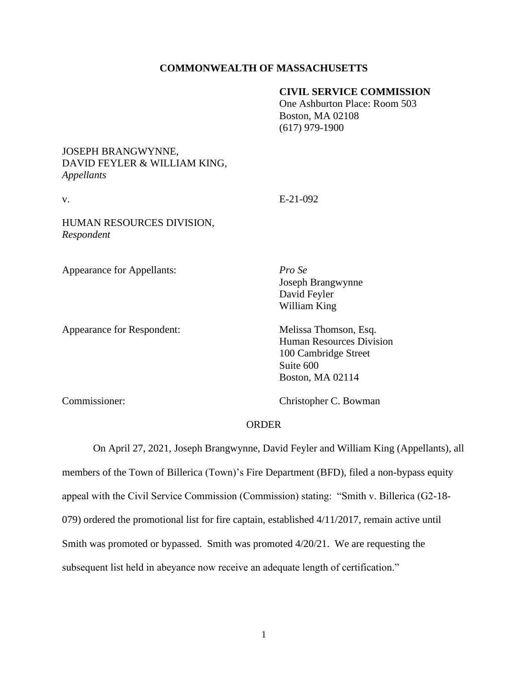#### **COMMONWEALTH OF MASSACHUSETTS**

#### **CIVIL SERVICE COMMISSION**

One Ashburton Place: Room 503 Boston, MA 02108 (617) 979-1900

## JOSEPH BRANGWYNNE, DAVID FEYLER & WILLIAM KING, *Appellants*

v. E-21-092

# HUMAN RESOURCES DIVISION, *Respondent*

Appearance for Appellants: *Pro Se*

Appearance for Respondent: Melissa Thomson, Esq.

Joseph Brangwynne David Feyler William King

Human Resources Division 100 Cambridge Street Suite 600 Boston, MA 02114

Commissioner: Christopher C. Bowman

#### ORDER

On April 27, 2021, Joseph Brangwynne, David Feyler and William King (Appellants), all members of the Town of Billerica (Town)'s Fire Department (BFD), filed a non-bypass equity appeal with the Civil Service Commission (Commission) stating: "Smith v. Billerica (G2-18- 079) ordered the promotional list for fire captain, established 4/11/2017, remain active until Smith was promoted or bypassed. Smith was promoted 4/20/21. We are requesting the subsequent list held in abeyance now receive an adequate length of certification."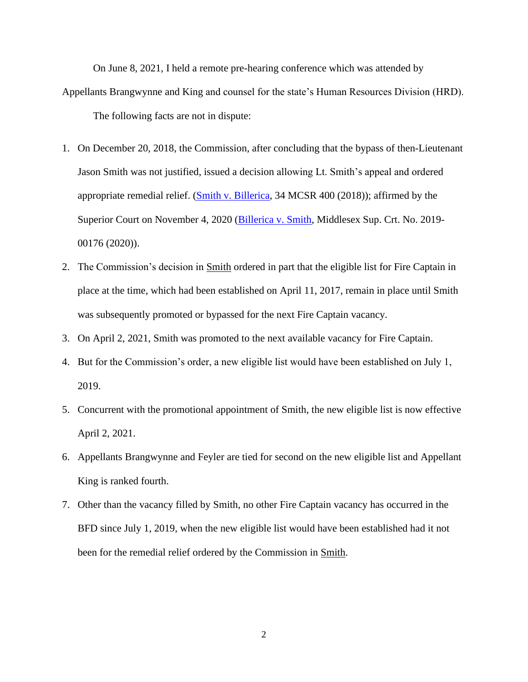On June 8, 2021, I held a remote pre-hearing conference which was attended by Appellants Brangwynne and King and counsel for the state's Human Resources Division (HRD). The following facts are not in dispute:

- 1. On December 20, 2018, the Commission, after concluding that the bypass of then-Lieutenant Jason Smith was not justified, issued a decision allowing Lt. Smith's appeal and ordered appropriate remedial relief. [\(Smith v. Billerica,](https://www.mass.gov/doc/smith-jason-v-town-of-billerica-122018/download) 34 MCSR 400 (2018)); affirmed by the Superior Court on November 4, 2020 [\(Billerica v. Smith,](https://www.mass.gov/doc/smith-jason-v-town-of-billerica-related-superior-court-decision-11420/download) Middlesex Sup. Crt. No. 2019- 00176 (2020)).
- 2. The Commission's decision in Smith ordered in part that the eligible list for Fire Captain in place at the time, which had been established on April 11, 2017, remain in place until Smith was subsequently promoted or bypassed for the next Fire Captain vacancy.
- 3. On April 2, 2021, Smith was promoted to the next available vacancy for Fire Captain.
- 4. But for the Commission's order, a new eligible list would have been established on July 1, 2019.
- 5. Concurrent with the promotional appointment of Smith, the new eligible list is now effective April 2, 2021.
- 6. Appellants Brangwynne and Feyler are tied for second on the new eligible list and Appellant King is ranked fourth.
- 7. Other than the vacancy filled by Smith, no other Fire Captain vacancy has occurred in the BFD since July 1, 2019, when the new eligible list would have been established had it not been for the remedial relief ordered by the Commission in Smith.

2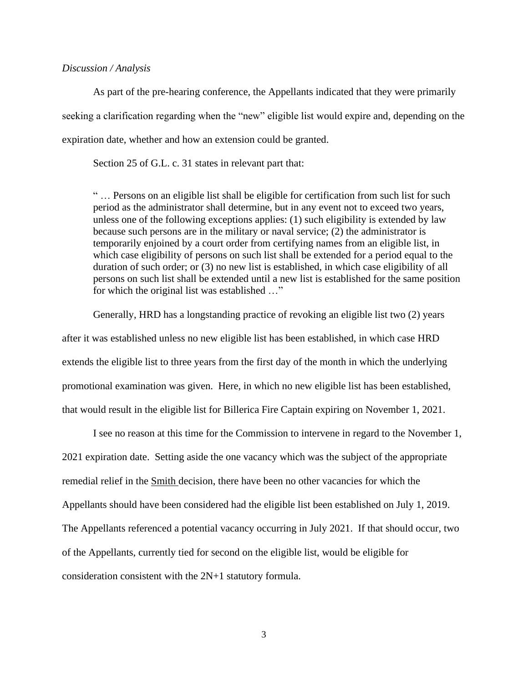#### *Discussion / Analysis*

As part of the pre-hearing conference, the Appellants indicated that they were primarily seeking a clarification regarding when the "new" eligible list would expire and, depending on the expiration date, whether and how an extension could be granted.

Section 25 of G.L. c. 31 states in relevant part that:

" … Persons on an eligible list shall be eligible for certification from such list for such period as the administrator shall determine, but in any event not to exceed two years, unless one of the following exceptions applies: (1) such eligibility is extended by law because such persons are in the military or naval service; (2) the administrator is temporarily enjoined by a court order from certifying names from an eligible list, in which case eligibility of persons on such list shall be extended for a period equal to the duration of such order; or (3) no new list is established, in which case eligibility of all persons on such list shall be extended until a new list is established for the same position for which the original list was established …"

Generally, HRD has a longstanding practice of revoking an eligible list two (2) years after it was established unless no new eligible list has been established, in which case HRD extends the eligible list to three years from the first day of the month in which the underlying promotional examination was given. Here, in which no new eligible list has been established, that would result in the eligible list for Billerica Fire Captain expiring on November 1, 2021.

I see no reason at this time for the Commission to intervene in regard to the November 1, 2021 expiration date. Setting aside the one vacancy which was the subject of the appropriate remedial relief in the Smith decision, there have been no other vacancies for which the Appellants should have been considered had the eligible list been established on July 1, 2019. The Appellants referenced a potential vacancy occurring in July 2021. If that should occur, two of the Appellants, currently tied for second on the eligible list, would be eligible for consideration consistent with the 2N+1 statutory formula.

3